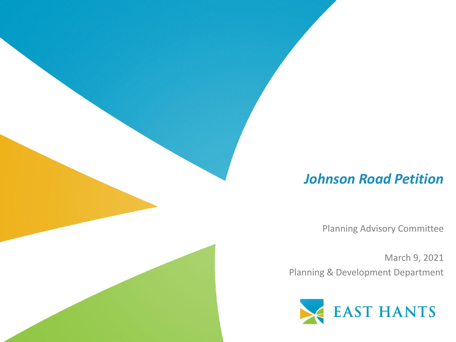#### *Johnson Road Petition*

Planning Advisory Committee

March 9, 2021 Planning & Development Department

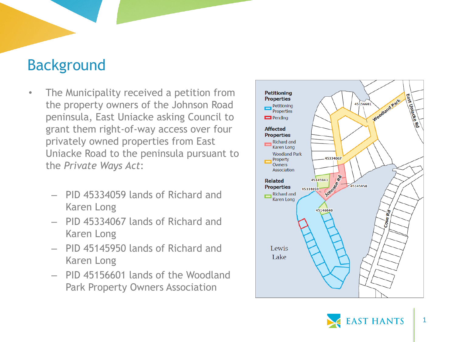### Background

- The Municipality received a petition from the property owners of the Johnson Road peninsula, East Uniacke asking Council to grant them right -of -way access over four privately owned properties from East Uniacke Road to the peninsula pursuant to the *Private Ways Act* :
	- PID 45334059 lands of Richard and Karen Long
	- PID 45334067 lands of Richard and Karen Long
	- PID 45145950 lands of Richard and Karen Long
	- PID 45156601 lands of the Woodland Park Property Owners Association



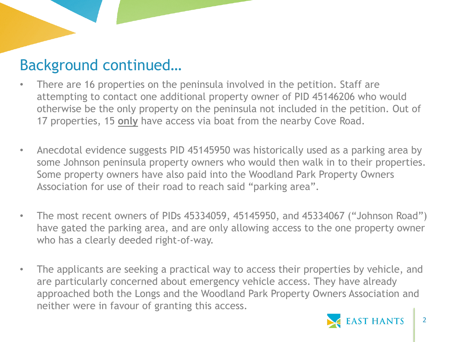# Background continued…

- There are 16 properties on the peninsula involved in the petition. Staff are attempting to contact one additional property owner of PID 45146206 who would otherwise be the only property on the peninsula not included in the petition. Out of 17 properties, 15 **only** have access via boat from the nearby Cove Road.
- Anecdotal evidence suggests PID 45145950 was historically used as a parking area by some Johnson peninsula property owners who would then walk in to their properties. Some property owners have also paid into the Woodland Park Property Owners Association for use of their road to reach said "parking area".
- The most recent owners of PIDs 45334059, 45145950, and 45334067 ("Johnson Road") have gated the parking area, and are only allowing access to the one property owner who has a clearly deeded right-of-way.
- The applicants are seeking a practical way to access their properties by vehicle, and are particularly concerned about emergency vehicle access. They have already approached both the Longs and the Woodland Park Property Owners Association and neither were in favour of granting this access.

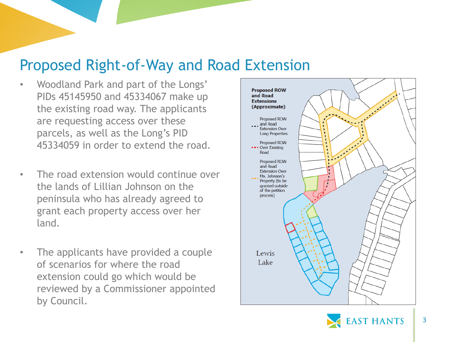### Proposed Right-of-Way and Road Extension

- Woodland Park and part of the Longs' PIDs 45145950 and 45334067 make up the existing road way. The applicants are requesting access over these parcels, as well as the Long's PID 45334059 in order to extend the road.
- The road extension would continue over the lands of Lillian Johnson on the peninsula who has already agreed to grant each property access over her land.
- The applicants have provided a couple of scenarios for where the road extension could go which would be reviewed by a Commissioner appointed by Council.



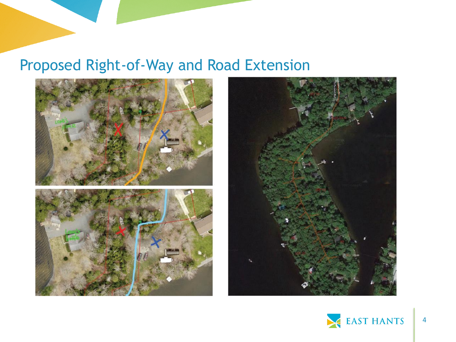# Proposed Right-of-Way and Road Extension





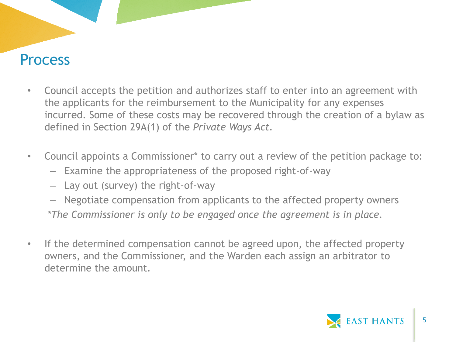#### **Process**

- Council accepts the petition and authorizes staff to enter into an agreement with the applicants for the reimbursement to the Municipality for any expenses incurred. Some of these costs may be recovered through the creation of a bylaw as defined in Section 29A(1) of the *Private Ways Act.*
- Council appoints a Commissioner\* to carry out a review of the petition package to:
	- Examine the appropriateness of the proposed right-of-way
	- Lay out (survey) the right-of-way
	- Negotiate compensation from applicants to the affected property owners *\*The Commissioner is only to be engaged once the agreement is in place.*
- If the determined compensation cannot be agreed upon, the affected property owners, and the Commissioner, and the Warden each assign an arbitrator to determine the amount.

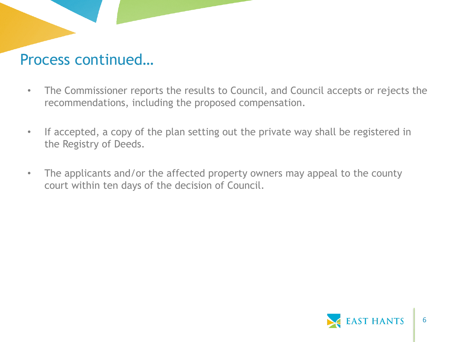### Process continued…

- The Commissioner reports the results to Council, and Council accepts or rejects the recommendations, including the proposed compensation.
- If accepted, a copy of the plan setting out the private way shall be registered in the Registry of Deeds.
- The applicants and/or the affected property owners may appeal to the county court within ten days of the decision of Council.

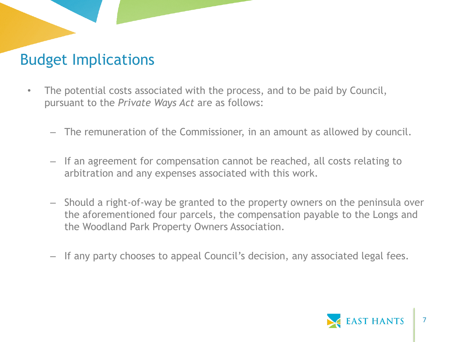# Budget Implications

- The potential costs associated with the process, and to be paid by Council, pursuant to the *Private Ways Act* are as follows:
	- The remuneration of the Commissioner, in an amount as allowed by council.
	- If an agreement for compensation cannot be reached, all costs relating to arbitration and any expenses associated with this work.
	- Should a right-of-way be granted to the property owners on the peninsula over the aforementioned four parcels, the compensation payable to the Longs and the Woodland Park Property Owners Association.
	- If any party chooses to appeal Council's decision, any associated legal fees.

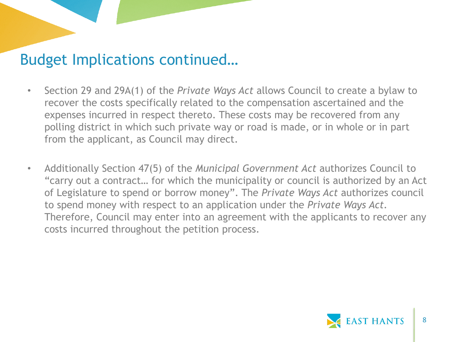### Budget Implications continued…

- Section 29 and 29A(1) of the *Private Ways Act* allows Council to create a bylaw to recover the costs specifically related to the compensation ascertained and the expenses incurred in respect thereto. These costs may be recovered from any polling district in which such private way or road is made, or in whole or in part from the applicant, as Council may direct.
- Additionally Section 47(5) of the *Municipal Government Act* authorizes Council to "carry out a contract… for which the municipality or council is authorized by an Act of Legislature to spend or borrow money". The *Private Ways Act* authorizes council to spend money with respect to an application under the *Private Ways Act.*  Therefore, Council may enter into an agreement with the applicants to recover any costs incurred throughout the petition process.

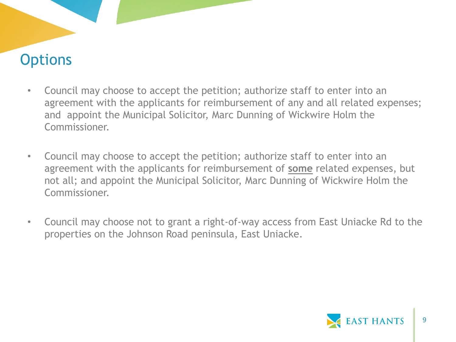# **Options**

- Council may choose to accept the petition; authorize staff to enter into an agreement with the applicants for reimbursement of any and all related expenses; and appoint the Municipal Solicitor, Marc Dunning of Wickwire Holm the Commissioner.
- Council may choose to accept the petition; authorize staff to enter into an agreement with the applicants for reimbursement of **some** related expenses, but not all; and appoint the Municipal Solicitor, Marc Dunning of Wickwire Holm the Commissioner.
- Council may choose not to grant a right-of-way access from East Uniacke Rd to the properties on the Johnson Road peninsula, East Uniacke.